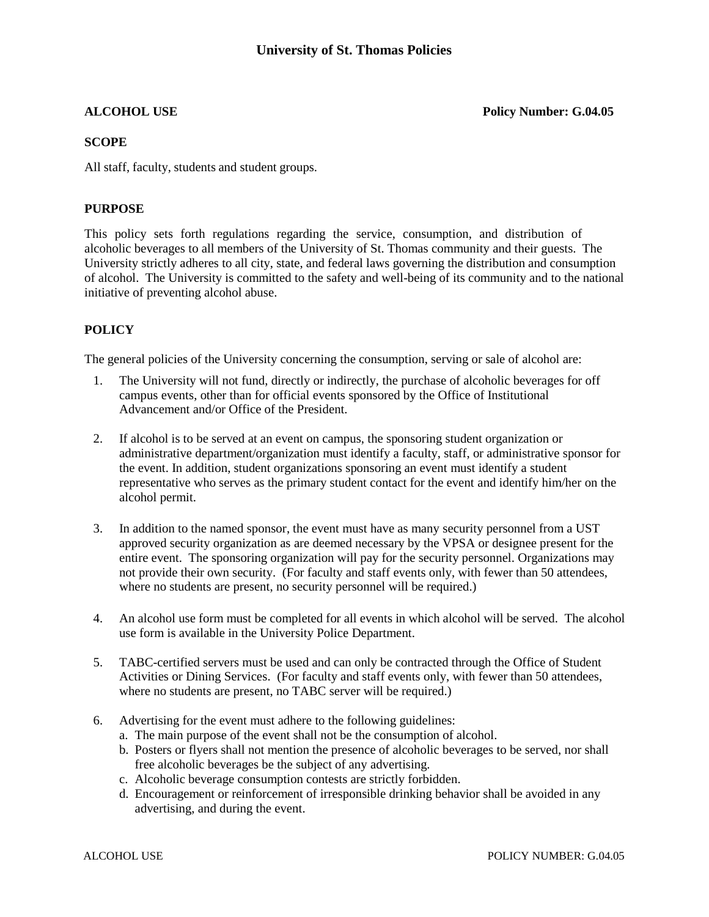**ALCOHOL USE Policy Number: G.04.05**

#### **SCOPE**

All staff, faculty, students and student groups.

## **PURPOSE**

This policy sets forth regulations regarding the service, consumption, and distribution of alcoholic beverages to all members of the University of St. Thomas community and their guests. The University strictly adheres to all city, state, and federal laws governing the distribution and consumption of alcohol. The University is committed to the safety and well-being of its community and to the national initiative of preventing alcohol abuse.

## **POLICY**

The general policies of the University concerning the consumption, serving or sale of alcohol are:

- 1. The University will not fund, directly or indirectly, the purchase of alcoholic beverages for off campus events, other than for official events sponsored by the Office of Institutional Advancement and/or Office of the President.
- 2. If alcohol is to be served at an event on campus, the sponsoring student organization or administrative department/organization must identify a faculty, staff, or administrative sponsor for the event. In addition, student organizations sponsoring an event must identify a student representative who serves as the primary student contact for the event and identify him/her on the alcohol permit.
- 3. In addition to the named sponsor, the event must have as many security personnel from a UST approved security organization as are deemed necessary by the VPSA or designee present for the entire event. The sponsoring organization will pay for the security personnel. Organizations may not provide their own security. (For faculty and staff events only, with fewer than 50 attendees, where no students are present, no security personnel will be required.)
- 4. An alcohol use form must be completed for all events in which alcohol will be served. The alcohol use form is available in the University Police Department.
- 5. TABC-certified servers must be used and can only be contracted through the Office of Student Activities or Dining Services. (For faculty and staff events only, with fewer than 50 attendees, where no students are present, no TABC server will be required.)
- 6. Advertising for the event must adhere to the following guidelines:
	- a. The main purpose of the event shall not be the consumption of alcohol.
	- b. Posters or flyers shall not mention the presence of alcoholic beverages to be served, nor shall free alcoholic beverages be the subject of any advertising.
	- c. Alcoholic beverage consumption contests are strictly forbidden.
	- d. Encouragement or reinforcement of irresponsible drinking behavior shall be avoided in any advertising, and during the event.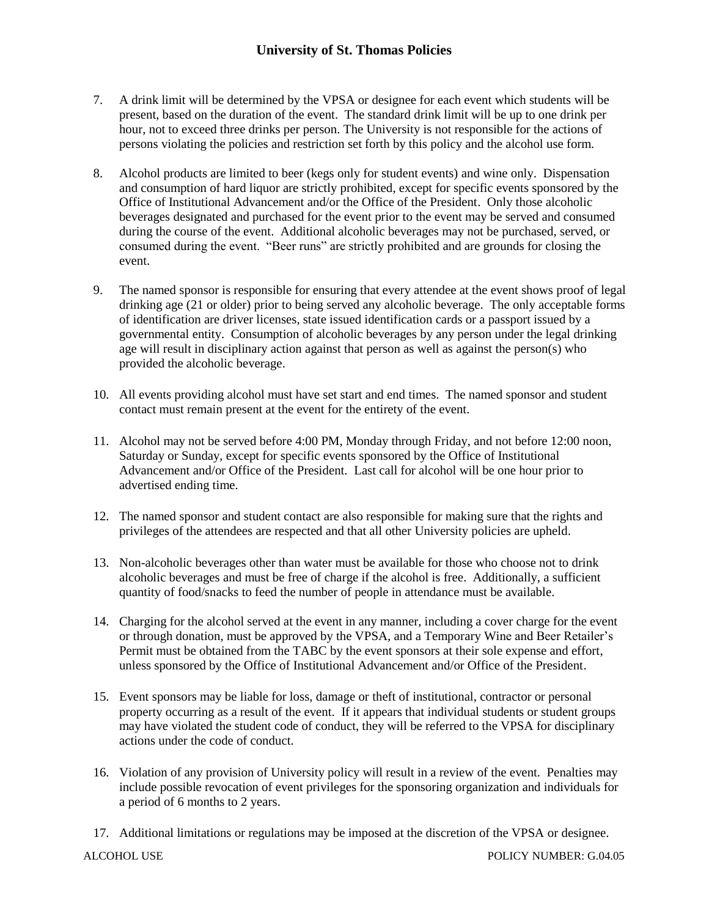# **University of St. Thomas Policies**

- 7. A drink limit will be determined by the VPSA or designee for each event which students will be present, based on the duration of the event. The standard drink limit will be up to one drink per hour, not to exceed three drinks per person. The University is not responsible for the actions of persons violating the policies and restriction set forth by this policy and the alcohol use form.
- 8. Alcohol products are limited to beer (kegs only for student events) and wine only. Dispensation and consumption of hard liquor are strictly prohibited, except for specific events sponsored by the Office of Institutional Advancement and/or the Office of the President. Only those alcoholic beverages designated and purchased for the event prior to the event may be served and consumed during the course of the event. Additional alcoholic beverages may not be purchased, served, or consumed during the event. "Beer runs" are strictly prohibited and are grounds for closing the event.
- 9. The named sponsor is responsible for ensuring that every attendee at the event shows proof of legal drinking age (21 or older) prior to being served any alcoholic beverage. The only acceptable forms of identification are driver licenses, state issued identification cards or a passport issued by a governmental entity. Consumption of alcoholic beverages by any person under the legal drinking age will result in disciplinary action against that person as well as against the person(s) who provided the alcoholic beverage.
- 10. All events providing alcohol must have set start and end times. The named sponsor and student contact must remain present at the event for the entirety of the event.
- 11. Alcohol may not be served before 4:00 PM, Monday through Friday, and not before 12:00 noon, Saturday or Sunday, except for specific events sponsored by the Office of Institutional Advancement and/or Office of the President. Last call for alcohol will be one hour prior to advertised ending time.
- 12. The named sponsor and student contact are also responsible for making sure that the rights and privileges of the attendees are respected and that all other University policies are upheld.
- 13. Non-alcoholic beverages other than water must be available for those who choose not to drink alcoholic beverages and must be free of charge if the alcohol is free. Additionally, a sufficient quantity of food/snacks to feed the number of people in attendance must be available.
- 14. Charging for the alcohol served at the event in any manner, including a cover charge for the event or through donation, must be approved by the VPSA, and a Temporary Wine and Beer Retailer's Permit must be obtained from the TABC by the event sponsors at their sole expense and effort, unless sponsored by the Office of Institutional Advancement and/or Office of the President.
- 15. Event sponsors may be liable for loss, damage or theft of institutional, contractor or personal property occurring as a result of the event. If it appears that individual students or student groups may have violated the student code of conduct, they will be referred to the VPSA for disciplinary actions under the code of conduct.
- 16. Violation of any provision of University policy will result in a review of the event. Penalties may include possible revocation of event privileges for the sponsoring organization and individuals for a period of 6 months to 2 years.
- 17. Additional limitations or regulations may be imposed at the discretion of the VPSA or designee.

ALCOHOL USE POLICY NUMBER: G.04.05